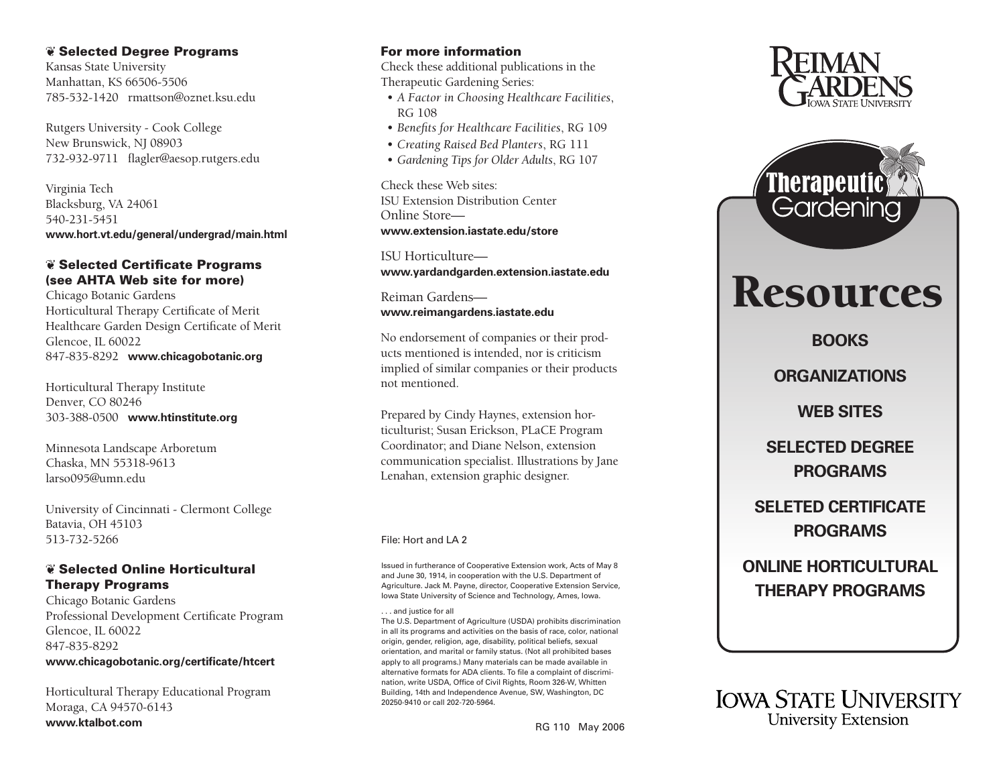## ❦ Selected Degree Programs

Kansas State University Manhattan, KS 66506-5506 785-532-1420 rmattson@oznet.ksu.edu

Rutgers University - Cook College New Brunswick, NJ 08903 732-932-9711 flagler@aesop.rutgers.edu

Virginia Tech Blacksburg, VA 24061 540-231-5451 **[www.hort.vt.edu/general/undergrad/main.html](http://www.hort.vt.edu/general/undergrad/main.html)**

## ❦ Selected Certificate Programs (see AHTA Web site for more)

Chicago Botanic Gardens Horticultural Therapy Certificate of Merit [Healthcare Garden Design Certificate of Merit](http://www.chicagobotanic.org) Glencoe, IL 60022 847-835-8292 **www.chicagobotanic.org**

[Horticultural Therapy Institute](http://www.hinstitute.org) Denver, CO 80246 303-388-0500 **www.htinstitute.org**

Minnesota Landscape Arboretum Chaska, MN 55318-9613 larso095@umn.edu

University of Cincinnati - Clermont College Batavia, OH 45103 513-732-5266

# ❦ Selected Online Horticultural Therapy Programs

Chicago Botanic Gardens [Professional Development Certificate Program](http://www.chicagobotanic.org/certificate/htcert) Glencoe, IL 60022 847-835-8292 **www.chicagobotanic.org/certificate/htcert**

[Horticultural Therapy Educational Program](http://www.ktalbot.com) Moraga, CA 94570-6143 **www.ktalbot.com**

## For more information

Check these additional publications in the Therapeutic Gardening Series:

- *[A Factor in Choosing Healthcare Facilities](https://www.extension.iastate.edu/store/ListItems.aspx?Keyword=rg108)*, RG 108
- *[Benefits for Healthcare Facilities](https://www.extension.iastate.edu/store/ListItems.aspx?Keyword=rg109)*, RG 109
- *[Creating Raised Bed Planters](https://www.extension.iastate.edu/store/ListItems.aspx?Keyword=rg111)*, RG 111
- *[Gardening Tips for Older Adults](https://www.extension.iastate.edu/store/ListItems.aspx?Keyword=rg107)*, RG 107

Check these Web sites: [ISU Extension Distribution Center](http://www.extension.iastate.edu/store)  Online Store **www.extension.iastate.edu/store**

ISU Horticulture **[www.yardandgarden.extension.iastate.edu](http://www.yardandgarden.extension.iastate.edu)**

Reiman Gardens **[www.reimangardens.iastate.edu](http://www.reimangardens.iastate.edu)**

No endorsement of companies or their prod ucts mentioned is intended, nor is criticism implied of similar companies or their products not mentioned.

Prepared by Cindy Haynes, extension horticulturist; Susan Erickson, PLaCE Program Coordinator; and Diane Nelson, extension communication specialist. Illustrations by Jane Lenahan, extension graphic designer.

### File: Hort and LA 2

Issued in furtherance of Cooperative Extension work, Acts of May 8 and June 30, 1914, in cooperation with the U.S. Department of Agriculture. Jack M. Payne, director, Cooperative Extension Service, Iowa State University of Science and Technology, Ames, Iowa.

. . . and justice for all

The U.S. Department of Agriculture (USDA) prohibits discrimination in all its programs and activities on the basis of race, color, national origin, gender, religion, age, disability, political beliefs, sexual orientation, and marital or family status. (Not all prohibited bases apply to all programs.) Many materials can be made available in alternative formats for ADA clients. To file a complaint of discrimi nation, write USDA, Office of Civil Rights, Room 326-W, Whitten Building, 14th and Independence Avenue, SW, Washington, DC 20250-9410 or call 202-720-5964.